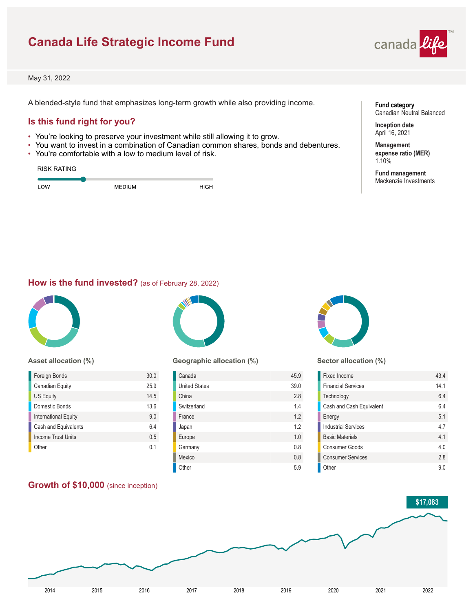# **Canada Life Strategic Income Fund**



May 31, 2022

A blended-style fund that emphasizes long-term growth while also providing income.

## **Is this fund right for you?**

- You're looking to preserve your investment while still allowing it to grow.
- You want to invest in a combination of Canadian common shares, bonds and debentures.
- You're comfortable with a low to medium level of risk.

| <b>RISK RATING</b> |        |      |
|--------------------|--------|------|
| LOW                | MEDIUM | HIGH |

**Fund category** Canadian Neutral Balanced

**Inception date** April 16, 2021

**Management expense ratio (MER)** 1.10%

**Fund management** Mackenzie Investments

### **How is the fund invested?** (as of February 28, 2022)



#### **Asset allocation (%)**

| 30.0 |
|------|
| 25.9 |
| 14.5 |
| 13.6 |
| 9.0  |
| 6.4  |
| 0.5  |
| በ 1  |
|      |

#### **Growth of \$10,000** (since inception)



#### **Geographic allocation (%)**

| Canada               | 45.9 |
|----------------------|------|
| <b>United States</b> | 39.0 |
| China                | 2.8  |
| Switzerland          | 1.4  |
| France               | 1.2  |
| Japan                | 1.2  |
| Europe               | 1.0  |
| Germany              | 0.8  |
| Mexico               | 0.8  |
| Other                | 5.9  |



#### **Sector allocation (%)**

| Fixed Income               | 43.4 |
|----------------------------|------|
| <b>Financial Services</b>  | 141  |
| Technology                 | 64   |
| Cash and Cash Equivalent   | 64   |
| Energy                     | 51   |
| <b>Industrial Services</b> | 47   |
| <b>Basic Materials</b>     | 41   |
| Consumer Goods             | 40   |
| <b>Consumer Services</b>   | 2.8  |
| Other                      | 90   |